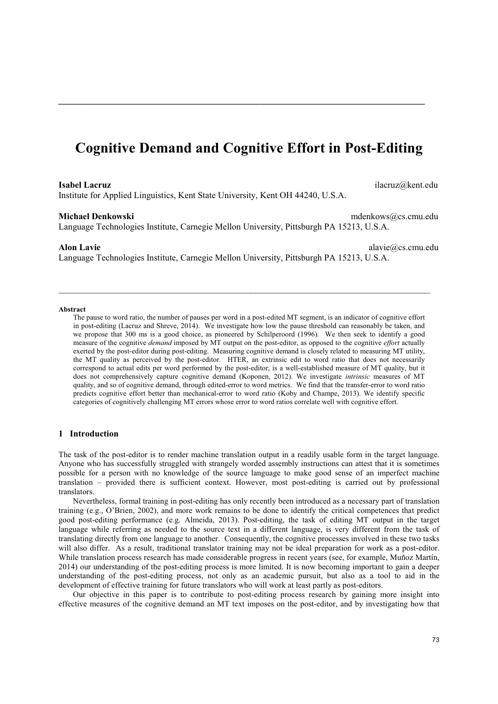# **Cognitive Demand and Cognitive Effort in Post-Editing**

\_\_\_\_\_\_\_\_\_\_\_\_\_\_\_\_\_\_\_\_\_\_\_\_\_\_\_\_\_\_\_\_\_\_\_\_\_\_\_\_\_\_\_\_\_\_\_\_\_\_

#### **Isabel Lacruz** ilacruz@kent.edu

Institute for Applied Linguistics, Kent State University, Kent OH 44240, U.S.A.

#### **Michael Denkowski** mdenkows@cs.cmu.edu

Language Technologies Institute, Carnegie Mellon University, Pittsburgh PA 15213, U.S.A.

#### **Alon Lavie** alavie alavie alavie alavie alavie alavie alavie alavie alavie alavie alavie alavie alavie alavie alavie alavie alavie alavie alavie alavie alavie alavie alavie alavie alavie alavie alavie alavie alavie alavie

Language Technologies Institute, Carnegie Mellon University, Pittsburgh PA 15213, U.S.A.

*\_\_\_\_\_\_\_\_\_\_\_\_\_\_\_\_\_\_\_\_\_\_\_\_\_\_\_\_\_\_\_\_\_\_\_\_\_\_\_\_\_\_\_\_\_\_\_\_\_\_\_\_\_\_\_\_\_\_\_\_\_\_\_\_\_\_\_\_\_\_\_\_\_\_\_\_\_\_\_\_\_\_\_* 

#### **Abstract**

The pause to word ratio, the number of pauses per word in a post-edited MT segment, is an indicator of cognitive effort in post-editing (Lacruz and Shreve, 2014). We investigate how low the pause threshold can reasonably be taken, and we propose that 300 ms is a good choice, as pioneered by Schilperoord (1996). We then seek to identify a good measure of the cognitive *demand* imposed by MT output on the post-editor, as opposed to the cognitive *effort* actually exerted by the post-editor during post-editing. Measuring cognitive demand is closely related to measuring MT utility, the MT quality as perceived by the post-editor. HTER, an extrinsic edit to word ratio that does not necessarily correspond to actual edits per word performed by the post-editor, is a well-established measure of MT quality, but it does not comprehensively capture cognitive demand (Koponen, 2012). We investigate *intrinsic* measures of MT quality, and so of cognitive demand, through edited-error to word metrics. We find that the transfer-error to word ratio predicts cognitive effort better than mechanical-error to word ratio (Koby and Champe, 2013). We identify specific categories of cognitively challenging MT errors whose error to word ratios correlate well with cognitive effort.

# **1 Introduction**

The task of the post-editor is to render machine translation output in a readily usable form in the target language. Anyone who has successfully struggled with strangely worded assembly instructions can attest that it is sometimes possible for a person with no knowledge of the source language to make good sense of an imperfect machine translation – provided there is sufficient context. However, most post-editing is carried out by professional translators.

 Nevertheless, formal training in post-editing has only recently been introduced as a necessary part of translation training (e.g., O'Brien, 2002), and more work remains to be done to identify the critical competences that predict good post-editing performance (e.g. Almeida, 2013). Post-editing, the task of editing MT output in the target language while referring as needed to the source text in a different language, is very different from the task of translating directly from one language to another. Consequently, the cognitive processes involved in these two tasks will also differ. As a result, traditional translator training may not be ideal preparation for work as a post-editor. While translation process research has made considerable progress in recent years (see, for example, Muñoz Martín, 2014) our understanding of the post-editing process is more limited. It is now becoming important to gain a deeper understanding of the post-editing process, not only as an academic pursuit, but also as a tool to aid in the development of effective training for future translators who will work at least partly as post-editors.

 Our objective in this paper is to contribute to post-editing process research by gaining more insight into effective measures of the cognitive demand an MT text imposes on the post-editor, and by investigating how that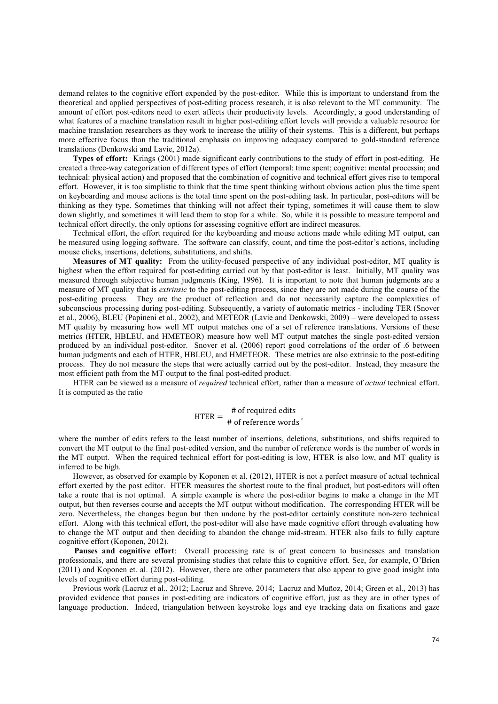demand relates to the cognitive effort expended by the post-editor. While this is important to understand from the theoretical and applied perspectives of post-editing process research, it is also relevant to the MT community. The amount of effort post-editors need to exert affects their productivity levels. Accordingly, a good understanding of what features of a machine translation result in higher post-editing effort levels will provide a valuable resource for machine translation researchers as they work to increase the utility of their systems. This is a different, but perhaps more effective focus than the traditional emphasis on improving adequacy compared to gold-standard reference translations (Denkowski and Lavie, 2012a).

 **Types of effort:** Krings (2001) made significant early contributions to the study of effort in post-editing. He created a three-way categorization of different types of effort (temporal: time spent; cognitive: mental processin; and technical: physical action) and proposed that the combination of cognitive and technical effort gives rise to temporal effort. However, it is too simplistic to think that the time spent thinking without obvious action plus the time spent on keyboarding and mouse actions is the total time spent on the post-editing task. In particular, post-editors will be thinking as they type. Sometimes that thinking will not affect their typing, sometimes it will cause them to slow down slightly, and sometimes it will lead them to stop for a while. So, while it is possible to measure temporal and technical effort directly, the only options for assessing cognitive effort are indirect measures.

 Technical effort, the effort required for the keyboarding and mouse actions made while editing MT output, can be measured using logging software. The software can classify, count, and time the post-editor's actions, including mouse clicks, insertions, deletions, substitutions, and shifts.

 **Measures of MT quality:** From the utility-focused perspective of any individual post-editor, MT quality is highest when the effort required for post-editing carried out by that post-editor is least. Initially, MT quality was measured through subjective human judgments (King, 1996). It is important to note that human judgments are a measure of MT quality that is *extrinsic* to the post-editing process, since they are not made during the course of the post-editing process. They are the product of reflection and do not necessarily capture the complexities of subconscious processing during post-editing. Subsequently, a variety of automatic metrics - including TER (Snover et al., 2006), BLEU (Papineni et al., 2002), and METEOR (Lavie and Denkowski, 2009) – were developed to assess MT quality by measuring how well MT output matches one of a set of reference translations. Versions of these metrics (HTER, HBLEU, and HMETEOR) measure how well MT output matches the single post-edited version produced by an individual post-editor. Snover et al. (2006) report good correlations of the order of .6 between human judgments and each of HTER, HBLEU, and HMETEOR. These metrics are also extrinsic to the post-editing process. They do not measure the steps that were actually carried out by the post-editor. Instead, they measure the most efficient path from the MT output to the final post-edited product.

 HTER can be viewed as a measure of *required* technical effort, rather than a measure of *actual* technical effort. It is computed as the ratio

# $HTER = \frac{\# \text{ of required edits}}{HTER}$  $\frac{1}{4}$  of reference words<sup>'</sup>

where the number of edits refers to the least number of insertions, deletions, substitutions, and shifts required to convert the MT output to the final post-edited version, and the number of reference words is the number of words in the MT output. When the required technical effort for post-editing is low, HTER is also low, and MT quality is inferred to be high.

 However, as observed for example by Koponen et al. (2012), HTER is not a perfect measure of actual technical effort exerted by the post editor. HTER measures the shortest route to the final product, but post-editors will often take a route that is not optimal. A simple example is where the post-editor begins to make a change in the MT output, but then reverses course and accepts the MT output without modification. The corresponding HTER will be zero. Nevertheless, the changes begun but then undone by the post-editor certainly constitute non-zero technical effort. Along with this technical effort, the post-editor will also have made cognitive effort through evaluating how to change the MT output and then deciding to abandon the change mid-stream. HTER also fails to fully capture cognitive effort (Koponen, 2012).

**Pauses and cognitive effort**: Overall processing rate is of great concern to businesses and translation professionals, and there are several promising studies that relate this to cognitive effort. See, for example, O'Brien (2011) and Koponen et. al. (2012). However, there are other parameters that also appear to give good insight into levels of cognitive effort during post-editing.

 Previous work (Lacruz et al., 2012; Lacruz and Shreve, 2014; Lacruz and Muñoz, 2014; Green et al., 2013) has provided evidence that pauses in post-editing are indicators of cognitive effort, just as they are in other types of language production. Indeed, triangulation between keystroke logs and eye tracking data on fixations and gaze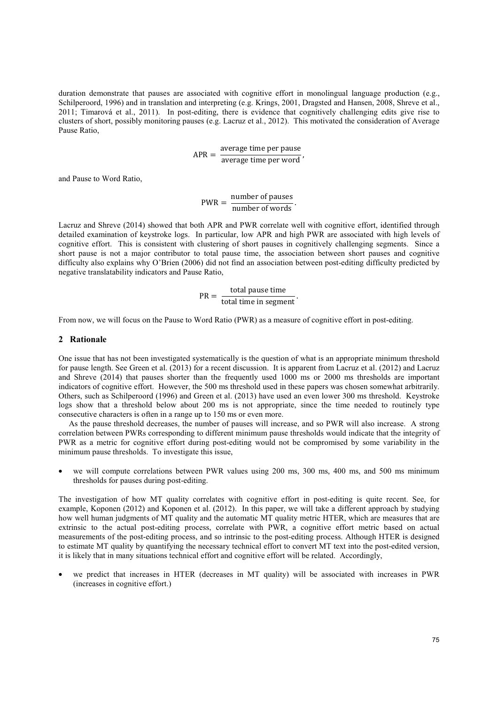duration demonstrate that pauses are associated with cognitive effort in monolingual language production (e.g., Schilperoord, 1996) and in translation and interpreting (e.g. Krings, 2001, Dragsted and Hansen, 2008, Shreve et al., 2011; Timarová et al., 2011). In post-editing, there is evidence that cognitively challenging edits give rise to clusters of short, possibly monitoring pauses (e.g. Lacruz et al., 2012). This motivated the consideration of Average Pause Ratio,

 $APR = \frac{\text{average time per pause}}{\text{average time per word}}$ 

and Pause to Word Ratio,

 $PWR = \frac{number of pauses}{}$  $\frac{$  mumber of pauses number of words.

Lacruz and Shreve (2014) showed that both APR and PWR correlate well with cognitive effort, identified through detailed examination of keystroke logs. In particular, low APR and high PWR are associated with high levels of cognitive effort. This is consistent with clustering of short pauses in cognitively challenging segments. Since a short pause is not a major contributor to total pause time, the association between short pauses and cognitive difficulty also explains why O'Brien (2006) did not find an association between post-editing difficulty predicted by negative translatability indicators and Pause Ratio,

$$
PR = \frac{\text{total pause time}}{\text{total time in segment}}.
$$

From now, we will focus on the Pause to Word Ratio (PWR) as a measure of cognitive effort in post-editing.

#### **2 Rationale**

One issue that has not been investigated systematically is the question of what is an appropriate minimum threshold for pause length. See Green et al. (2013) for a recent discussion. It is apparent from Lacruz et al. (2012) and Lacruz and Shreve (2014) that pauses shorter than the frequently used 1000 ms or 2000 ms thresholds are important indicators of cognitive effort. However, the 500 ms threshold used in these papers was chosen somewhat arbitrarily. Others, such as Schilperoord (1996) and Green et al. (2013) have used an even lower 300 ms threshold. Keystroke logs show that a threshold below about 200 ms is not appropriate, since the time needed to routinely type consecutive characters is often in a range up to 150 ms or even more.

 As the pause threshold decreases, the number of pauses will increase, and so PWR will also increase. A strong correlation between PWRs corresponding to different minimum pause thresholds would indicate that the integrity of PWR as a metric for cognitive effort during post-editing would not be compromised by some variability in the minimum pause thresholds. To investigate this issue,

we will compute correlations between PWR values using 200 ms, 300 ms, 400 ms, and 500 ms minimum thresholds for pauses during post-editing.

The investigation of how MT quality correlates with cognitive effort in post-editing is quite recent. See, for example, Koponen (2012) and Koponen et al. (2012). In this paper, we will take a different approach by studying how well human judgments of MT quality and the automatic MT quality metric HTER, which are measures that are extrinsic to the actual post-editing process, correlate with PWR, a cognitive effort metric based on actual measurements of the post-editing process, and so intrinsic to the post-editing process. Although HTER is designed to estimate MT quality by quantifying the necessary technical effort to convert MT text into the post-edited version, it is likely that in many situations technical effort and cognitive effort will be related. Accordingly,

• we predict that increases in HTER (decreases in MT quality) will be associated with increases in PWR (increases in cognitive effort.)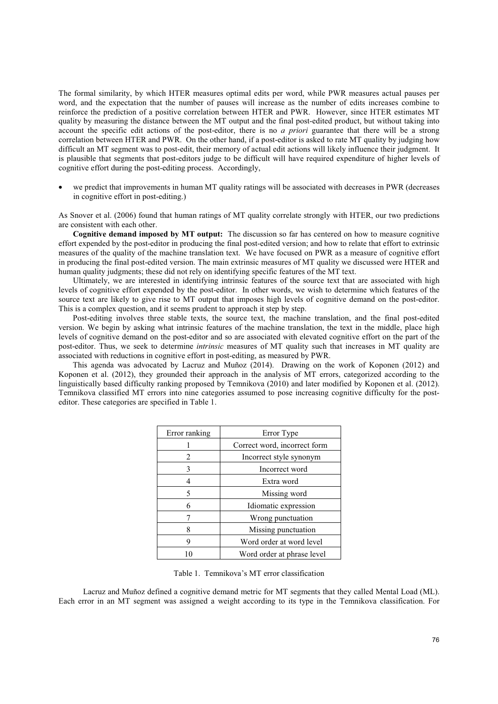The formal similarity, by which HTER measures optimal edits per word, while PWR measures actual pauses per word, and the expectation that the number of pauses will increase as the number of edits increases combine to reinforce the prediction of a positive correlation between HTER and PWR. However, since HTER estimates MT quality by measuring the distance between the MT output and the final post-edited product, but without taking into account the specific edit actions of the post-editor, there is no *a priori* guarantee that there will be a strong correlation between HTER and PWR. On the other hand, if a post-editor is asked to rate MT quality by judging how difficult an MT segment was to post-edit, their memory of actual edit actions will likely influence their judgment. It is plausible that segments that post-editors judge to be difficult will have required expenditure of higher levels of cognitive effort during the post-editing process. Accordingly,

• we predict that improvements in human MT quality ratings will be associated with decreases in PWR (decreases in cognitive effort in post-editing.)

As Snover et al. (2006) found that human ratings of MT quality correlate strongly with HTER, our two predictions are consistent with each other.

 **Cognitive demand imposed by MT output:** The discussion so far has centered on how to measure cognitive effort expended by the post-editor in producing the final post-edited version; and how to relate that effort to extrinsic measures of the quality of the machine translation text. We have focused on PWR as a measure of cognitive effort in producing the final post-edited version. The main extrinsic measures of MT quality we discussed were HTER and human quality judgments; these did not rely on identifying specific features of the MT text.

 Ultimately, we are interested in identifying intrinsic features of the source text that are associated with high levels of cognitive effort expended by the post-editor. In other words, we wish to determine which features of the source text are likely to give rise to MT output that imposes high levels of cognitive demand on the post-editor. This is a complex question, and it seems prudent to approach it step by step.

 Post-editing involves three stable texts, the source text, the machine translation, and the final post-edited version. We begin by asking what intrinsic features of the machine translation, the text in the middle, place high levels of cognitive demand on the post-editor and so are associated with elevated cognitive effort on the part of the post-editor. Thus, we seek to determine *intrinsic* measures of MT quality such that increases in MT quality are associated with reductions in cognitive effort in post-editing, as measured by PWR.

 This agenda was advocated by Lacruz and Muñoz (2014). Drawing on the work of Koponen (2012) and Koponen et al. (2012), they grounded their approach in the analysis of MT errors, categorized according to the linguistically based difficulty ranking proposed by Temnikova (2010) and later modified by Koponen et al. (2012). Temnikova classified MT errors into nine categories assumed to pose increasing cognitive difficulty for the posteditor. These categories are specified in Table 1.

| Error ranking | Error Type                   |  |
|---------------|------------------------------|--|
|               | Correct word, incorrect form |  |
| 2             | Incorrect style synonym      |  |
| 3             | Incorrect word               |  |
|               | Extra word                   |  |
| 5             | Missing word                 |  |
| 6             | Idiomatic expression         |  |
|               | Wrong punctuation            |  |
| 8             | Missing punctuation          |  |
| q             | Word order at word level     |  |
|               | Word order at phrase level   |  |

Table 1. Temnikova's MT error classification

 Lacruz and Muñoz defined a cognitive demand metric for MT segments that they called Mental Load (ML). Each error in an MT segment was assigned a weight according to its type in the Temnikova classification. For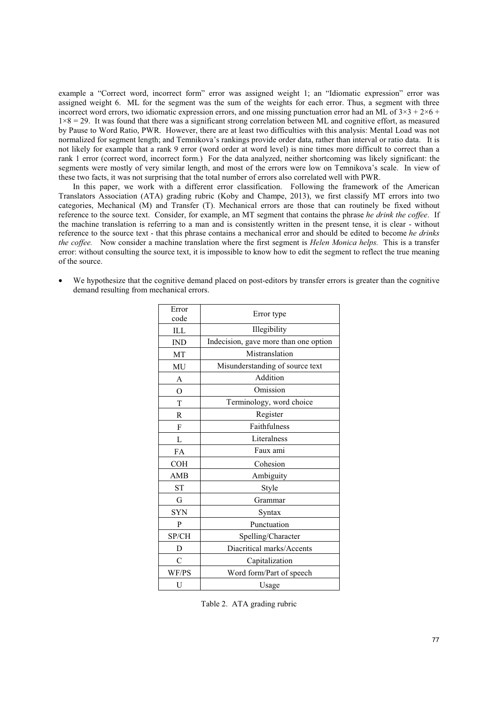example a "Correct word, incorrect form" error was assigned weight 1; an "Idiomatic expression" error was assigned weight 6. ML for the segment was the sum of the weights for each error. Thus, a segment with three incorrect word errors, two idiomatic expression errors, and one missing punctuation error had an ML of  $3\times3 + 2\times6 +$  $1\times8 = 29$ . It was found that there was a significant strong correlation between ML and cognitive effort, as measured by Pause to Word Ratio, PWR. However, there are at least two difficulties with this analysis: Mental Load was not normalized for segment length; and Temnikova's rankings provide order data, rather than interval or ratio data. It is not likely for example that a rank 9 error (word order at word level) is nine times more difficult to correct than a rank 1 error (correct word, incorrect form.) For the data analyzed, neither shortcoming was likely significant: the segments were mostly of very similar length, and most of the errors were low on Temnikova's scale. In view of these two facts, it was not surprising that the total number of errors also correlated well with PWR.

 In this paper, we work with a different error classification. Following the framework of the American Translators Association (ATA) grading rubric (Koby and Champe, 2013), we first classify MT errors into two categories, Mechanical (M) and Transfer (T). Mechanical errors are those that can routinely be fixed without reference to the source text. Consider, for example, an MT segment that contains the phrase *he drink the coffee*. If the machine translation is referring to a man and is consistently written in the present tense, it is clear - without reference to the source text - that this phrase contains a mechanical error and should be edited to become *he drinks the coffee.* Now consider a machine translation where the first segment is *Helen Monica helps.* This is a transfer error: without consulting the source text, it is impossible to know how to edit the segment to reflect the true meaning of the source.

We hypothesize that the cognitive demand placed on post-editors by transfer errors is greater than the cognitive demand resulting from mechanical errors.

| Error<br>code  | Error type                            |  |  |
|----------------|---------------------------------------|--|--|
| ILL            | Illegibility                          |  |  |
| <b>IND</b>     | Indecision, gave more than one option |  |  |
| MT             | Mistranslation                        |  |  |
| MU             | Misunderstanding of source text       |  |  |
| A              | Addition                              |  |  |
| $\overline{O}$ | Omission                              |  |  |
| T              | Terminology, word choice              |  |  |
| R              | Register                              |  |  |
| F              | Faithfulness                          |  |  |
| L              | Literalness                           |  |  |
| FA             | Faux ami                              |  |  |
| <b>COH</b>     | Cohesion                              |  |  |
| AMB            | Ambiguity                             |  |  |
| <b>ST</b>      | Style                                 |  |  |
| G              | Grammar                               |  |  |
| <b>SYN</b>     | Syntax                                |  |  |
| P              | Punctuation                           |  |  |
| SP/CH          | Spelling/Character                    |  |  |
| D              | Diacritical marks/Accents             |  |  |
| C              | Capitalization                        |  |  |
| WF/PS          | Word form/Part of speech              |  |  |
| U              | Usage                                 |  |  |

Table 2. ATA grading rubric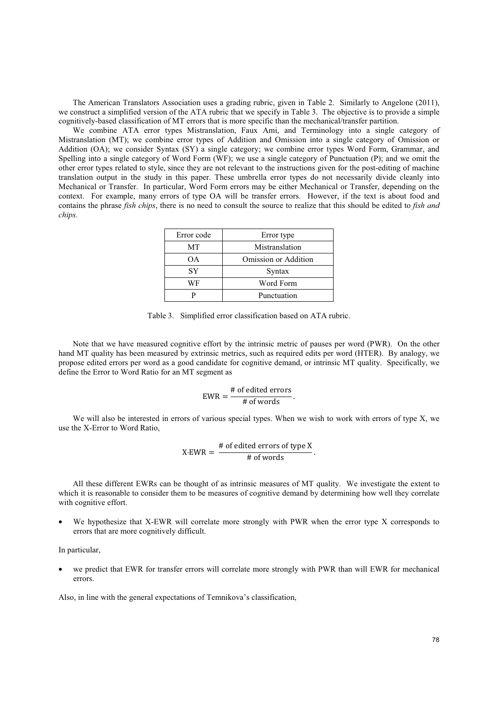The American Translators Association uses a grading rubric, given in Table 2. Similarly to Angelone (2011), we construct a simplified version of the ATA rubric that we specify in Table 3. The objective is to provide a simple cognitively-based classification of MT errors that is more specific than the mechanical/transfer partition.

 We combine ATA error types Mistranslation, Faux Ami, and Terminology into a single category of Mistranslation (MT); we combine error types of Addition and Omission into a single category of Omission or Addition (OA); we consider Syntax (SY) a single category; we combine error types Word Form, Grammar, and Spelling into a single category of Word Form (WF); we use a single category of Punctuation (P); and we omit the other error types related to style, since they are not relevant to the instructions given for the post-editing of machine translation output in the study in this paper. These umbrella error types do not necessarily divide cleanly into Mechanical or Transfer. In particular, Word Form errors may be either Mechanical or Transfer, depending on the context. For example, many errors of type OA will be transfer errors. However, if the text is about food and contains the phrase *fish chips*, there is no need to consult the source to realize that this should be edited to *fish and chips.* 

| Error code | Error type           |  |
|------------|----------------------|--|
| МT         | Mistranslation       |  |
| OΑ         | Omission or Addition |  |
| <b>SY</b>  | Syntax               |  |
| WF         | Word Form            |  |
|            | Punctuation          |  |

Table 3. Simplified error classification based on ATA rubric.

 Note that we have measured cognitive effort by the intrinsic metric of pauses per word (PWR). On the other hand MT quality has been measured by extrinsic metrics, such as required edits per word (HTER). By analogy, we propose edited errors per word as a good candidate for cognitive demand, or intrinsic MT quality. Specifically, we define the Error to Word Ratio for an MT segment as

$$
EWR = \frac{\text{\# of edited errors}}{\text{\# of words}}.
$$

 We will also be interested in errors of various special types. When we wish to work with errors of type X, we use the X-Error to Word Ratio,

$$
X\text{-EWR} = \frac{\text{\# of edited errors of type X}}{\text{\# of words}}.
$$

 All these different EWRs can be thought of as intrinsic measures of MT quality. We investigate the extent to which it is reasonable to consider them to be measures of cognitive demand by determining how well they correlate with cognitive effort.

We hypothesize that X-EWR will correlate more strongly with PWR when the error type X corresponds to errors that are more cognitively difficult.

In particular,

we predict that EWR for transfer errors will correlate more strongly with PWR than will EWR for mechanical errors.

Also, in line with the general expectations of Temnikova's classification,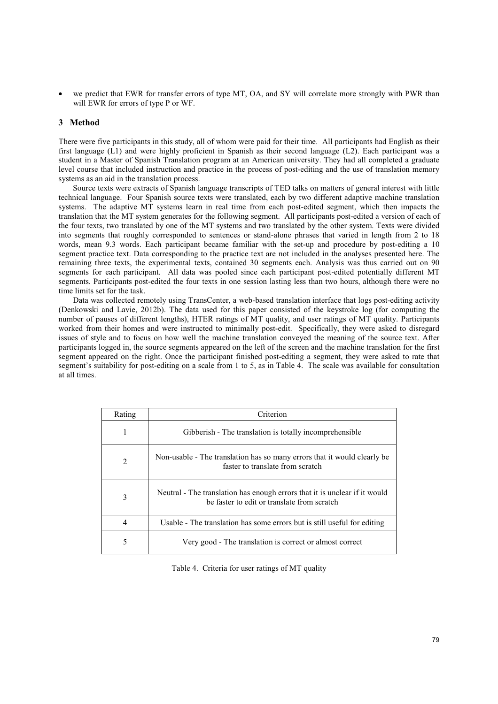we predict that EWR for transfer errors of type MT, OA, and SY will correlate more strongly with PWR than will EWR for errors of type P or WF.

## **3 Method**

There were five participants in this study, all of whom were paid for their time. All participants had English as their first language (L1) and were highly proficient in Spanish as their second language (L2). Each participant was a student in a Master of Spanish Translation program at an American university. They had all completed a graduate level course that included instruction and practice in the process of post-editing and the use of translation memory systems as an aid in the translation process.

 Source texts were extracts of Spanish language transcripts of TED talks on matters of general interest with little technical language. Four Spanish source texts were translated, each by two different adaptive machine translation systems. The adaptive MT systems learn in real time from each post-edited segment, which then impacts the translation that the MT system generates for the following segment. All participants post-edited a version of each of the four texts, two translated by one of the MT systems and two translated by the other system. Texts were divided into segments that roughly corresponded to sentences or stand-alone phrases that varied in length from 2 to 18 words, mean 9.3 words. Each participant became familiar with the set-up and procedure by post-editing a 10 segment practice text. Data corresponding to the practice text are not included in the analyses presented here. The remaining three texts, the experimental texts, contained 30 segments each. Analysis was thus carried out on 90 segments for each participant. All data was pooled since each participant post-edited potentially different MT segments. Participants post-edited the four texts in one session lasting less than two hours, although there were no time limits set for the task.

 Data was collected remotely using TransCenter, a web-based translation interface that logs post-editing activity (Denkowski and Lavie, 2012b). The data used for this paper consisted of the keystroke log (for computing the number of pauses of different lengths), HTER ratings of MT quality, and user ratings of MT quality. Participants worked from their homes and were instructed to minimally post-edit. Specifically, they were asked to disregard issues of style and to focus on how well the machine translation conveyed the meaning of the source text. After participants logged in, the source segments appeared on the left of the screen and the machine translation for the first segment appeared on the right. Once the participant finished post-editing a segment, they were asked to rate that segment's suitability for post-editing on a scale from 1 to 5, as in Table 4. The scale was available for consultation at all times.

| Rating | Criterion                                                                                                                 |  |  |
|--------|---------------------------------------------------------------------------------------------------------------------------|--|--|
|        | Gibberish - The translation is totally incomprehensible                                                                   |  |  |
| 2      | Non-usable - The translation has so many errors that it would clearly be<br>faster to translate from scratch              |  |  |
| 3      | Neutral - The translation has enough errors that it is unclear if it would<br>be faster to edit or translate from scratch |  |  |
|        | Usable - The translation has some errors but is still useful for editing                                                  |  |  |
| 5      | Very good - The translation is correct or almost correct                                                                  |  |  |

Table 4. Criteria for user ratings of MT quality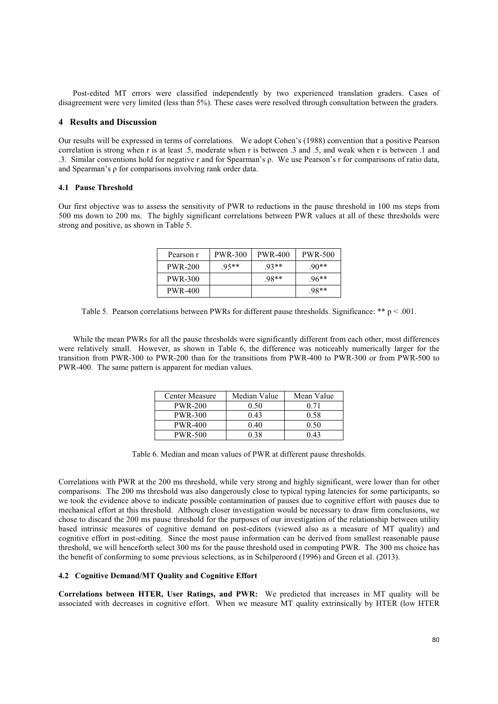Post-edited MT errors were classified independently by two experienced translation graders. Cases of disagreement were very limited (less than 5%). These cases were resolved through consultation between the graders.

#### **4 Results and Discussion**

Our results will be expressed in terms of correlations. We adopt Cohen's (1988) convention that a positive Pearson correlation is strong when r is at least .5, moderate when r is between .3 and .5, and weak when r is between .1 and .3. Similar conventions hold for negative r and for Spearman's  $\rho$ . We use Pearson's r for comparisons of ratio data, and Spearman's  $\rho$  for comparisons involving rank order data.

## **4.1 Pause Threshold**

Our first objective was to assess the sensitivity of PWR to reductions in the pause threshold in 100 ms steps from 500 ms down to 200 ms. The highly significant correlations between PWR values at all of these thresholds were strong and positive, as shown in Table 5.

| Pearson r      | PWR-300 | <b>PWR-400</b> | <b>PWR-500</b> |
|----------------|---------|----------------|----------------|
| <b>PWR-200</b> | $.95**$ | $.93**$        | $.90**$        |
| PWR-300        |         | $.98**$        | $.96**$        |
| PWR-400        |         |                | $.98**$        |

Table 5. Pearson correlations between PWRs for different pause thresholds. Significance: \*\* p < .001.

 While the mean PWRs for all the pause thresholds were significantly different from each other, most differences were relatively small. However, as shown in Table 6, the difference was noticeably numerically larger for the transition from PWR-300 to PWR-200 than for the transitions from PWR-400 to PWR-300 or from PWR-500 to PWR-400. The same pattern is apparent for median values.

| Center Measure | Median Value | Mean Value |
|----------------|--------------|------------|
| <b>PWR-200</b> | 0.50         | 0.71       |
| <b>PWR-300</b> | 0.43         | 0.58       |
| <b>PWR-400</b> | 0.40         | 0.50       |
| <b>PWR-500</b> | 0 38         | 0.43       |

Table 6. Median and mean values of PWR at different pause thresholds.

Correlations with PWR at the 200 ms threshold, while very strong and highly significant, were lower than for other comparisons. The 200 ms threshold was also dangerously close to typical typing latencies for some participants, so we took the evidence above to indicate possible contamination of pauses due to cognitive effort with pauses due to mechanical effort at this threshold. Although closer investigation would be necessary to draw firm conclusions, we chose to discard the 200 ms pause threshold for the purposes of our investigation of the relationship between utility based intrinsic measures of cognitive demand on post-editors (viewed also as a measure of MT quality) and cognitive effort in post-editing. Since the most pause information can be derived from smallest reasonable pause threshold, we will henceforth select 300 ms for the pause threshold used in computing PWR. The 300 ms choice has the benefit of conforming to some previous selections, as in Schilperoord (1996) and Green et al. (2013).

#### **4.2 Cognitive Demand/MT Quality and Cognitive Effort**

**Correlations between HTER, User Ratings, and PWR:** We predicted that increases in MT quality will be associated with decreases in cognitive effort. When we measure MT quality extrinsically by HTER (low HTER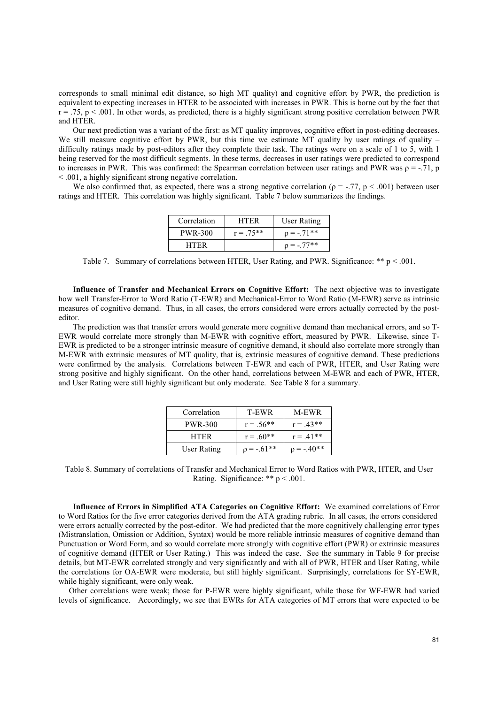corresponds to small minimal edit distance, so high MT quality) and cognitive effort by PWR, the prediction is equivalent to expecting increases in HTER to be associated with increases in PWR. This is borne out by the fact that  $r = .75$ ,  $p < .001$ . In other words, as predicted, there is a highly significant strong positive correlation between PWR and HTER.

 Our next prediction was a variant of the first: as MT quality improves, cognitive effort in post-editing decreases. We still measure cognitive effort by PWR, but this time we estimate MT quality by user ratings of quality – difficulty ratings made by post-editors after they complete their task. The ratings were on a scale of 1 to 5, with 1 being reserved for the most difficult segments. In these terms, decreases in user ratings were predicted to correspond to increases in PWR. This was confirmed: the Spearman correlation between user ratings and PWR was  $\rho = -0.71$ , p < .001, a highly significant strong negative correlation.

We also confirmed that, as expected, there was a strong negative correlation ( $p = -.77$ ,  $p < .001$ ) between user ratings and HTER. This correlation was highly significant. Table 7 below summarizes the findings.

| Correlation    | <b>HTER</b> | User Rating   |
|----------------|-------------|---------------|
| <b>PWR-300</b> | $r = .75**$ | $p = -0.71**$ |
| <b>HTER</b>    |             | $p = -.77**$  |

Table 7. Summary of correlations between HTER, User Rating, and PWR. Significance: \*\* p < .001.

 **Influence of Transfer and Mechanical Errors on Cognitive Effort:** The next objective was to investigate how well Transfer-Error to Word Ratio (T-EWR) and Mechanical-Error to Word Ratio (M-EWR) serve as intrinsic measures of cognitive demand. Thus, in all cases, the errors considered were errors actually corrected by the posteditor.

 The prediction was that transfer errors would generate more cognitive demand than mechanical errors, and so T-EWR would correlate more strongly than M-EWR with cognitive effort, measured by PWR. Likewise, since T-EWR is predicted to be a stronger intrinsic measure of cognitive demand, it should also correlate more strongly than M-EWR with extrinsic measures of MT quality, that is, extrinsic measures of cognitive demand. These predictions were confirmed by the analysis. Correlations between T-EWR and each of PWR, HTER, and User Rating were strong positive and highly significant. On the other hand, correlations between M-EWR and each of PWR, HTER, and User Rating were still highly significant but only moderate. See Table 8 for a summary.

| Correlation | T-EWR          | M-EWR       |
|-------------|----------------|-------------|
| PWR-300     | $r = .56$ **   | $r = .43**$ |
| <b>HTER</b> | $r = .60**$    | $r = .41**$ |
| User Rating | $p = -0.61$ ** | $p = -40**$ |

Table 8. Summary of correlations of Transfer and Mechanical Error to Word Ratios with PWR, HTER, and User Rating. Significance: \*\* p < .001.

 **Influence of Errors in Simplified ATA Categories on Cognitive Effort:** We examined correlations of Error to Word Ratios for the five error categories derived from the ATA grading rubric. In all cases, the errors considered were errors actually corrected by the post-editor. We had predicted that the more cognitively challenging error types (Mistranslation, Omission or Addition, Syntax) would be more reliable intrinsic measures of cognitive demand than Punctuation or Word Form, and so would correlate more strongly with cognitive effort (PWR) or extrinsic measures of cognitive demand (HTER or User Rating.) This was indeed the case. See the summary in Table 9 for precise details, but MT-EWR correlated strongly and very significantly and with all of PWR, HTER and User Rating, while the correlations for OA-EWR were moderate, but still highly significant. Surprisingly, correlations for SY-EWR, while highly significant, were only weak.

 Other correlations were weak; those for P-EWR were highly significant, while those for WF-EWR had varied levels of significance. Accordingly, we see that EWRs for ATA categories of MT errors that were expected to be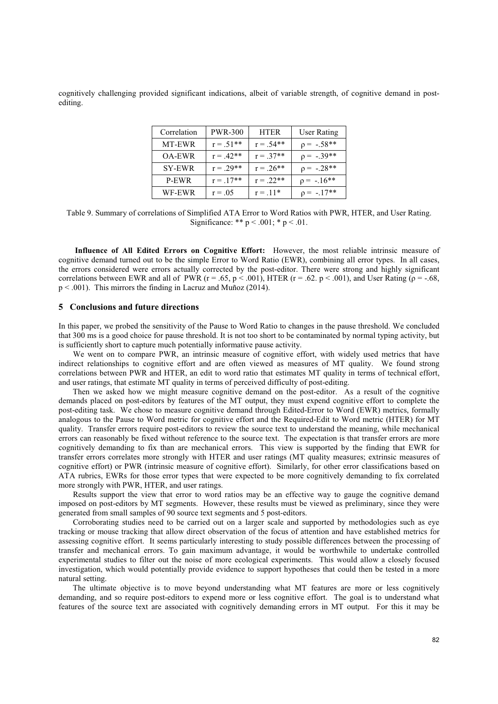cognitively challenging provided significant indications, albeit of variable strength, of cognitive demand in postediting.

| Correlation   | <b>PWR-300</b> | <b>HTER</b> | User Rating  |
|---------------|----------------|-------------|--------------|
| MT-EWR        | $r = .51**$    | $r = .54**$ | $p = -.58**$ |
| <b>OA-EWR</b> | $r = .42**$    | $r = .37**$ | $p = -.39**$ |
| <b>SY-EWR</b> | $r = .29**$    | $r = .26**$ | $p = -.28**$ |
| P-EWR         | $r = .17**$    | $r = .22**$ | $p = -.16**$ |
| WF-EWR        | $r = .05$      | $r = .11*$  | $p = -.17**$ |

Table 9. Summary of correlations of Simplified ATA Error to Word Ratios with PWR, HTER, and User Rating. Significance: \*\*  $p < .001$ ; \*  $p < .01$ .

 **Influence of All Edited Errors on Cognitive Effort:** However, the most reliable intrinsic measure of cognitive demand turned out to be the simple Error to Word Ratio (EWR), combining all error types. In all cases, the errors considered were errors actually corrected by the post-editor. There were strong and highly significant correlations between EWR and all of PWR ( $r = .65$ ,  $p < .001$ ), HTER ( $r = .62$ ,  $p < .001$ ), and User Rating ( $p = -.68$ ,  $p < .001$ ). This mirrors the finding in Lacruz and Muñoz (2014).

# **5 Conclusions and future directions**

In this paper, we probed the sensitivity of the Pause to Word Ratio to changes in the pause threshold. We concluded that 300 ms is a good choice for pause threshold. It is not too short to be contaminated by normal typing activity, but is sufficiently short to capture much potentially informative pause activity.

 We went on to compare PWR, an intrinsic measure of cognitive effort, with widely used metrics that have indirect relationships to cognitive effort and are often viewed as measures of MT quality. We found strong correlations between PWR and HTER, an edit to word ratio that estimates MT quality in terms of technical effort, and user ratings, that estimate MT quality in terms of perceived difficulty of post-editing.

 Then we asked how we might measure cognitive demand on the post-editor. As a result of the cognitive demands placed on post-editors by features of the MT output, they must expend cognitive effort to complete the post-editing task. We chose to measure cognitive demand through Edited-Error to Word (EWR) metrics, formally analogous to the Pause to Word metric for cognitive effort and the Required-Edit to Word metric (HTER) for MT quality. Transfer errors require post-editors to review the source text to understand the meaning, while mechanical errors can reasonably be fixed without reference to the source text. The expectation is that transfer errors are more cognitively demanding to fix than are mechanical errors. This view is supported by the finding that EWR for transfer errors correlates more strongly with HTER and user ratings (MT quality measures; extrinsic measures of cognitive effort) or PWR (intrinsic measure of cognitive effort). Similarly, for other error classifications based on ATA rubrics, EWRs for those error types that were expected to be more cognitively demanding to fix correlated more strongly with PWR, HTER, and user ratings.

 Results support the view that error to word ratios may be an effective way to gauge the cognitive demand imposed on post-editors by MT segments. However, these results must be viewed as preliminary, since they were generated from small samples of 90 source text segments and 5 post-editors.

 Corroborating studies need to be carried out on a larger scale and supported by methodologies such as eye tracking or mouse tracking that allow direct observation of the focus of attention and have established metrics for assessing cognitive effort. It seems particularly interesting to study possible differences between the processing of transfer and mechanical errors. To gain maximum advantage, it would be worthwhile to undertake controlled experimental studies to filter out the noise of more ecological experiments. This would allow a closely focused investigation, which would potentially provide evidence to support hypotheses that could then be tested in a more natural setting.

 The ultimate objective is to move beyond understanding what MT features are more or less cognitively demanding, and so require post-editors to expend more or less cognitive effort. The goal is to understand what features of the source text are associated with cognitively demanding errors in MT output. For this it may be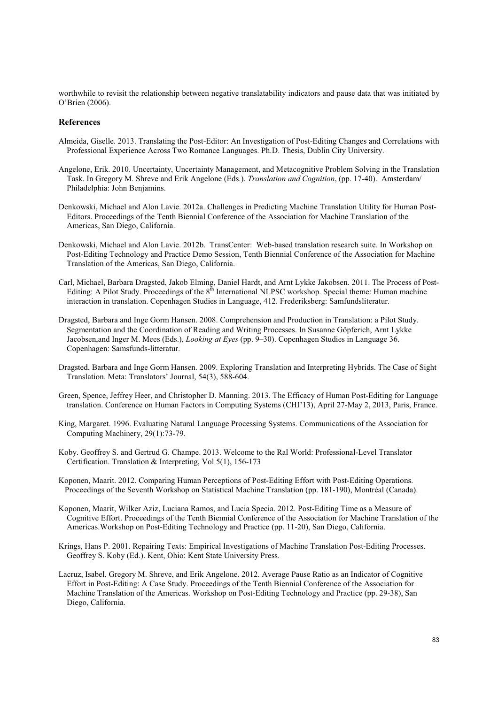worthwhile to revisit the relationship between negative translatability indicators and pause data that was initiated by O'Brien (2006).

#### **References**

- Almeida, Giselle. 2013. Translating the Post-Editor: An Investigation of Post-Editing Changes and Correlations with Professional Experience Across Two Romance Languages. Ph.D. Thesis, Dublin City University.
- Angelone, Erik. 2010. Uncertainty, Uncertainty Management, and Metacognitive Problem Solving in the Translation Task. In Gregory M. Shreve and Erik Angelone (Eds.). *Translation and Cognition*, (pp. 17-40). Amsterdam/ Philadelphia: John Benjamins.
- Denkowski, Michael and Alon Lavie. 2012a. Challenges in Predicting Machine Translation Utility for Human Post- Editors. Proceedings of the Tenth Biennial Conference of the Association for Machine Translation of the Americas, San Diego, California.
- Denkowski, Michael and Alon Lavie. 2012b. TransCenter: Web-based translation research suite. In Workshop on Post-Editing Technology and Practice Demo Session, Tenth Biennial Conference of the Association for Machine Translation of the Americas, San Diego, California.
- Carl, Michael, Barbara Dragsted, Jakob Elming, Daniel Hardt, and Arnt Lykke Jakobsen. 2011. The Process of Post- Editing: A Pilot Study. Proceedings of the 8<sup>th</sup> International NLPSC workshop. Special theme: Human machine interaction in translation. Copenhagen Studies in Language, 412. Frederiksberg: Samfundsliteratur.
- Dragsted, Barbara and Inge Gorm Hansen. 2008. Comprehension and Production in Translation: a Pilot Study. Segmentation and the Coordination of Reading and Writing Processes. In Susanne Göpferich, Arnt Lykke Jacobsen,and Inger M. Mees (Eds.), *Looking at Eyes* (pp. 9–30). Copenhagen Studies in Language 36. Copenhagen: Samsfunds-litteratur.
- Dragsted, Barbara and Inge Gorm Hansen. 2009. Exploring Translation and Interpreting Hybrids. The Case of Sight Translation. Meta: Translators' Journal, 54(3), 588-604.
- Green, Spence, Jeffrey Heer, and Christopher D. Manning. 2013. The Efficacy of Human Post-Editing for Language translation. Conference on Human Factors in Computing Systems (CHI'13), April 27-May 2, 2013, Paris, France.
- King, Margaret. 1996. Evaluating Natural Language Processing Systems. Communications of the Association for Computing Machinery, 29(1):73-79.
- Koby. Geoffrey S. and Gertrud G. Champe. 2013. Welcome to the Ral World: Professional-Level Translator Certification. Translation & Interpreting, Vol 5(1), 156-173
- Koponen, Maarit. 2012. Comparing Human Perceptions of Post-Editing Effort with Post-Editing Operations. Proceedings of the Seventh Workshop on Statistical Machine Translation (pp. 181-190), Montréal (Canada).
- Koponen, Maarit, Wilker Aziz, Luciana Ramos, and Lucia Specia. 2012. Post-Editing Time as a Measure of Cognitive Effort. Proceedings of the Tenth Biennial Conference of the Association for Machine Translation of the Americas.Workshop on Post-Editing Technology and Practice (pp. 11-20), San Diego, California.
- Krings, Hans P. 2001. Repairing Texts: Empirical Investigations of Machine Translation Post-Editing Processes. Geoffrey S. Koby (Ed.). Kent, Ohio: Kent State University Press.
- Lacruz, Isabel, Gregory M. Shreve, and Erik Angelone. 2012. Average Pause Ratio as an Indicator of Cognitive Effort in Post-Editing: A Case Study. Proceedings of the Tenth Biennial Conference of the Association for Machine Translation of the Americas. Workshop on Post-Editing Technology and Practice (pp. 29-38), San Diego, California.